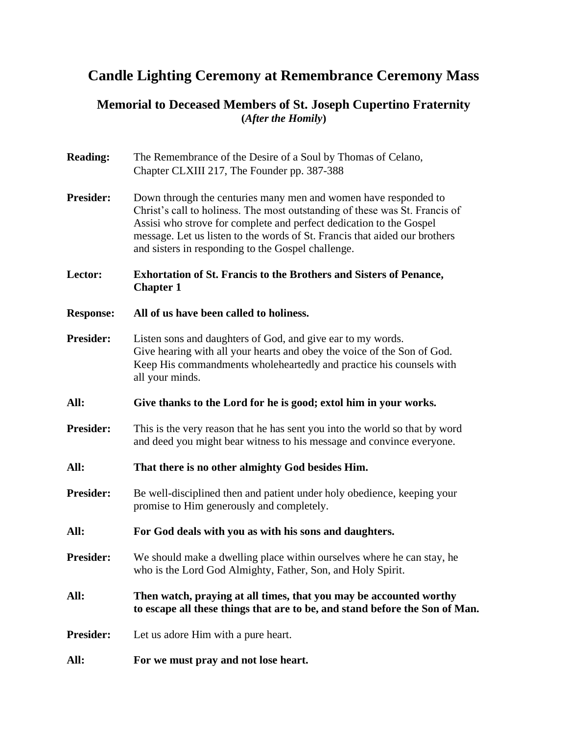## **Candle Lighting Ceremony at Remembrance Ceremony Mass**

## **Memorial to Deceased Members of St. Joseph Cupertino Fraternity (***After the Homily***)**

| The Remembrance of the Desire of a Soul by Thomas of Celano,<br>Chapter CLXIII 217, The Founder pp. 387-388                                                                                                                                                                                                                                               |
|-----------------------------------------------------------------------------------------------------------------------------------------------------------------------------------------------------------------------------------------------------------------------------------------------------------------------------------------------------------|
| Down through the centuries many men and women have responded to<br>Christ's call to holiness. The most outstanding of these was St. Francis of<br>Assisi who strove for complete and perfect dedication to the Gospel<br>message. Let us listen to the words of St. Francis that aided our brothers<br>and sisters in responding to the Gospel challenge. |
| <b>Exhortation of St. Francis to the Brothers and Sisters of Penance,</b><br><b>Chapter 1</b>                                                                                                                                                                                                                                                             |
| All of us have been called to holiness.                                                                                                                                                                                                                                                                                                                   |
| Listen sons and daughters of God, and give ear to my words.<br>Give hearing with all your hearts and obey the voice of the Son of God.<br>Keep His commandments wholeheartedly and practice his counsels with<br>all your minds.                                                                                                                          |
| Give thanks to the Lord for he is good; extol him in your works.                                                                                                                                                                                                                                                                                          |
| This is the very reason that he has sent you into the world so that by word<br>and deed you might bear witness to his message and convince everyone.                                                                                                                                                                                                      |
| That there is no other almighty God besides Him.                                                                                                                                                                                                                                                                                                          |
| Be well-disciplined then and patient under holy obedience, keeping your<br>promise to Him generously and completely.                                                                                                                                                                                                                                      |
| For God deals with you as with his sons and daughters.                                                                                                                                                                                                                                                                                                    |
| We should make a dwelling place within ourselves where he can stay, he<br>who is the Lord God Almighty, Father, Son, and Holy Spirit.                                                                                                                                                                                                                     |
| Then watch, praying at all times, that you may be accounted worthy<br>to escape all these things that are to be, and stand before the Son of Man.                                                                                                                                                                                                         |
| Let us adore Him with a pure heart.                                                                                                                                                                                                                                                                                                                       |
| For we must pray and not lose heart.                                                                                                                                                                                                                                                                                                                      |
|                                                                                                                                                                                                                                                                                                                                                           |